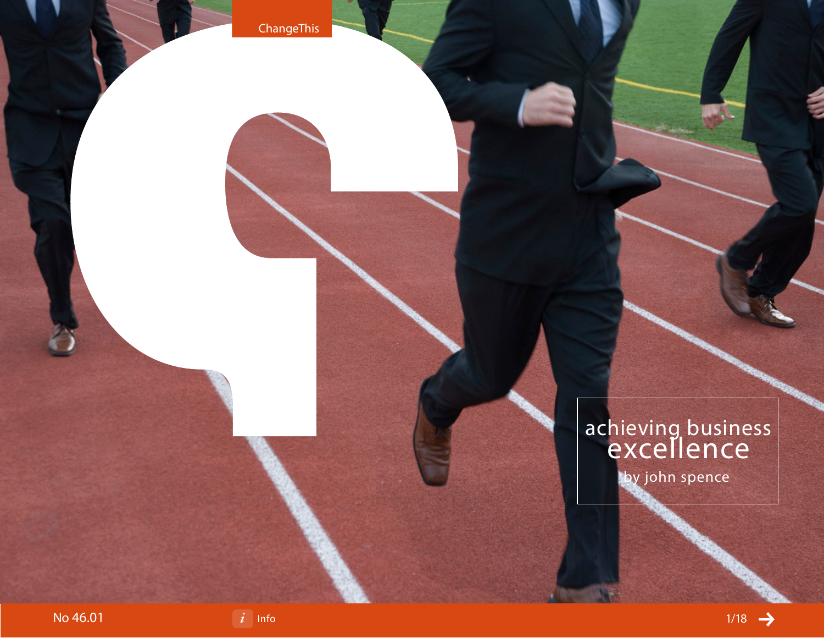# achieving business excellence

by john spence

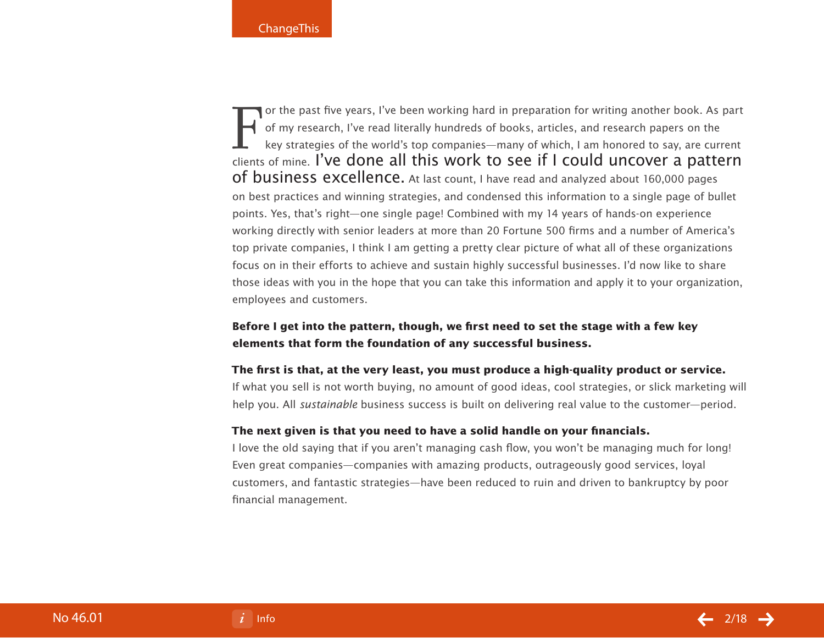For the past five years, I've been working hard in preparation for writing another book. As part<br>of my research, I've read literally hundreds of books, articles, and research papers on the<br>key strategies of the world's top of my research, I've read literally hundreds of books, articles, and research papers on the key strategies of the world's top companies—many of which, I am honored to say, are current clients of mine. I've done all this work to see if I could uncover a pattern of business excellence. At last count, I have read and analyzed about 160,000 pages on best practices and winning strategies, and condensed this information to a single page of bullet points. Yes, that's right—one single page! Combined with my 14 years of hands-on experience working directly with senior leaders at more than 20 Fortune 500 firms and a number of America's top private companies, I think I am getting a pretty clear picture of what all of these organizations focus on in their efforts to achieve and sustain highly successful businesses. I'd now like to share those ideas with you in the hope that you can take this information and apply it to your organization, employees and customers.

## **Before I get into the pattern, though, we first need to set the stage with a few key elements that form the foundation of any successful business.**

#### **The first is that, at the very least, you must produce a high-quality product or service.**

If what you sell is not worth buying, no amount of good ideas, cool strategies, or slick marketing will help you. All *sustainable* business success is built on delivering real value to the customer—period.

#### **The next given is that you need to have a solid handle on your financials.**

I love the old saying that if you aren't managing cash flow, you won't be managing much for long! Even great companies—companies with amazing products, outrageously good services, loyal customers, and fantastic strategies—have been reduced to ruin and driven to bankruptcy by poor financial management.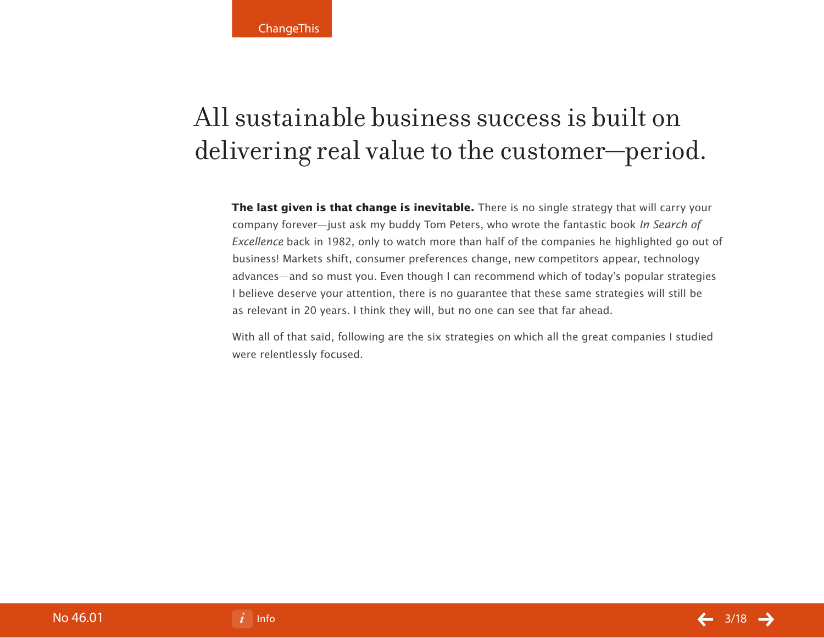# All sustainable business success is built on delivering real value to the customer—period.

**The last given is that change is inevitable.** There is no single strategy that will carry your company forever—just ask my buddy Tom Peters, who wrote the fantastic book In Search of Excellence back in 1982, only to watch more than half of the companies he highlighted go out of business! Markets shift, consumer preferences change, new competitors appear, technology advances—and so must you. Even though I can recommend which of today's popular strategies I believe deserve your attention, there is no guarantee that these same strategies will still be as relevant in 20 years. I think they will, but no one can see that far ahead.

With all of that said, following are the six strategies on which all the great companies I studied were relentlessly focused.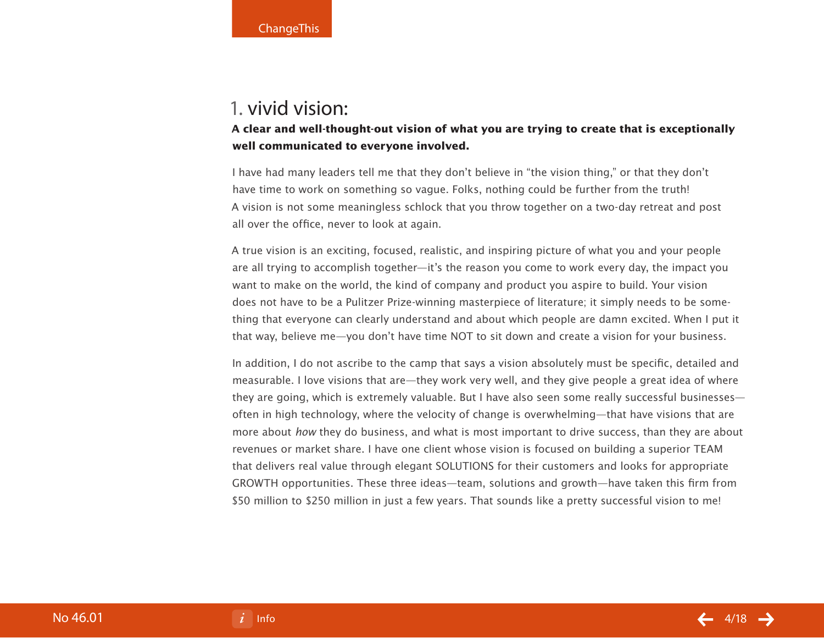## 1. vivid vision:

## **A clear and well-thought-out vision of what you are trying to create that is exceptionally well communicated to everyone involved.**

I have had many leaders tell me that they don't believe in "the vision thing," or that they don't have time to work on something so vague. Folks, nothing could be further from the truth! A vision is not some meaningless schlock that you throw together on a two-day retreat and post all over the office, never to look at again.

A true vision is an exciting, focused, realistic, and inspiring picture of what you and your people are all trying to accomplish together—it's the reason you come to work every day, the impact you want to make on the world, the kind of company and product you aspire to build. Your vision does not have to be a Pulitzer Prize-winning masterpiece of literature; it simply needs to be something that everyone can clearly understand and about which people are damn excited. When I put it that way, believe me—you don't have time NOT to sit down and create a vision for your business.

In addition, I do not ascribe to the camp that says a vision absolutely must be specific, detailed and measurable. I love visions that are—they work very well, and they give people a great idea of where they are going, which is extremely valuable. But I have also seen some really successful businesses often in high technology, where the velocity of change is overwhelming—that have visions that are more about how they do business, and what is most important to drive success, than they are about revenues or market share. I have one client whose vision is focused on building a superior TEAM that delivers real value through elegant SOLUTIONS for their customers and looks for appropriate GROWTH opportunities. These three ideas—team, solutions and growth—have taken this firm from \$50 million to \$250 million in just a few years. That sounds like a pretty successful vision to me!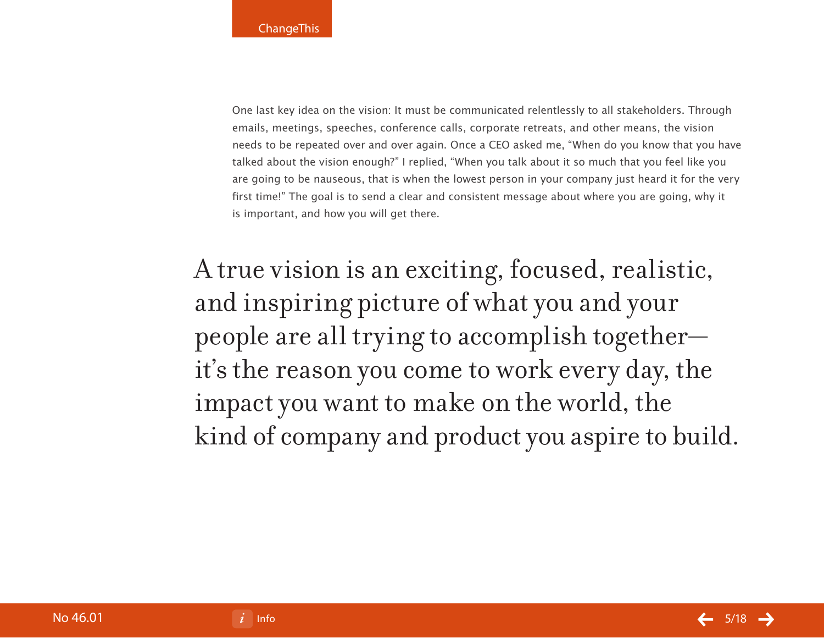One last key idea on the vision: It must be communicated relentlessly to all stakeholders. Through emails, meetings, speeches, conference calls, corporate retreats, and other means, the vision needs to be repeated over and over again. Once a CEO asked me, "When do you know that you have talked about the vision enough?" I replied, "When you talk about it so much that you feel like you are going to be nauseous, that is when the lowest person in your company just heard it for the very first time!" The goal is to send a clear and consistent message about where you are going, why it is important, and how you will get there.

A true vision is an exciting, focused, realistic, and inspiring picture of what you and your people are all trying to accomplish together it's the reason you come to work every day, the impact you want to make on the world, the kind of company and product you aspire to build.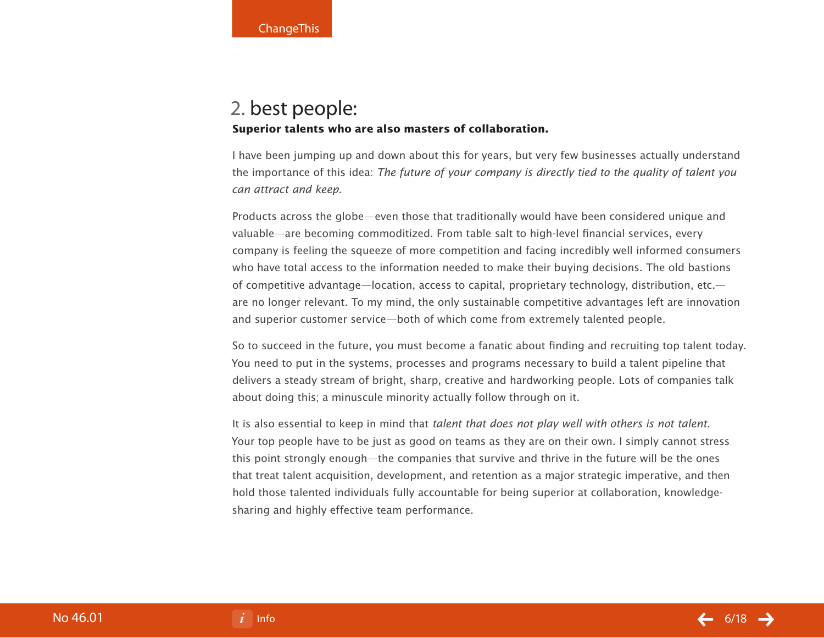## 2. best people: **Superior talents who are also masters of collaboration.**

I have been jumping up and down about this for years, but very few businesses actually understand the importance of this idea: The future of your company is directly tied to the quality of talent you can attract and keep.

Products across the globe—even those that traditionally would have been considered unique and valuable—are becoming commoditized. From table salt to high-level financial services, every company is feeling the squeeze of more competition and facing incredibly well informed consumers who have total access to the information needed to make their buying decisions. The old bastions of competitive advantage—location, access to capital, proprietary technology, distribution, etc. are no longer relevant. To my mind, the only sustainable competitive advantages left are innovation and superior customer service—both of which come from extremely talented people.

So to succeed in the future, you must become a fanatic about finding and recruiting top talent today. You need to put in the systems, processes and programs necessary to build a talent pipeline that delivers a steady stream of bright, sharp, creative and hardworking people. Lots of companies talk about doing this; a minuscule minority actually follow through on it.

It is also essential to keep in mind that talent that does not play well with others is not talent. Your top people have to be just as good on teams as they are on their own. I simply cannot stress this point strongly enough—the companies that survive and thrive in the future will be the ones that treat talent acquisition, development, and retention as a major strategic imperative, and then hold those talented individuals fully accountable for being superior at collaboration, knowledgesharing and highly effective team performance.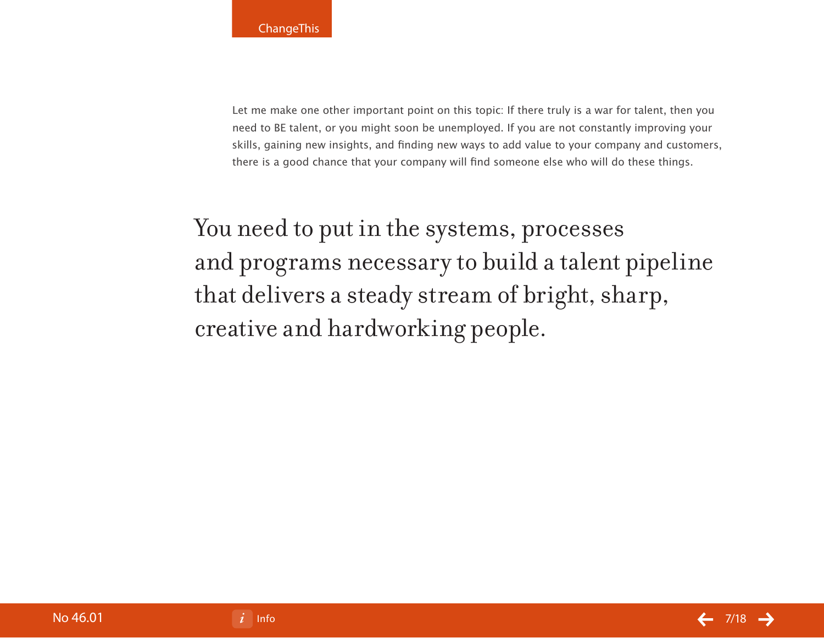Let me make one other important point on this topic: If there truly is a war for talent, then you need to BE talent, or you might soon be unemployed. If you are not constantly improving your skills, gaining new insights, and finding new ways to add value to your company and customers, there is a good chance that your company will find someone else who will do these things.

You need to put in the systems, processes and programs necessary to build a talent pipeline that delivers a steady stream of bright, sharp, creative and hardworking people.

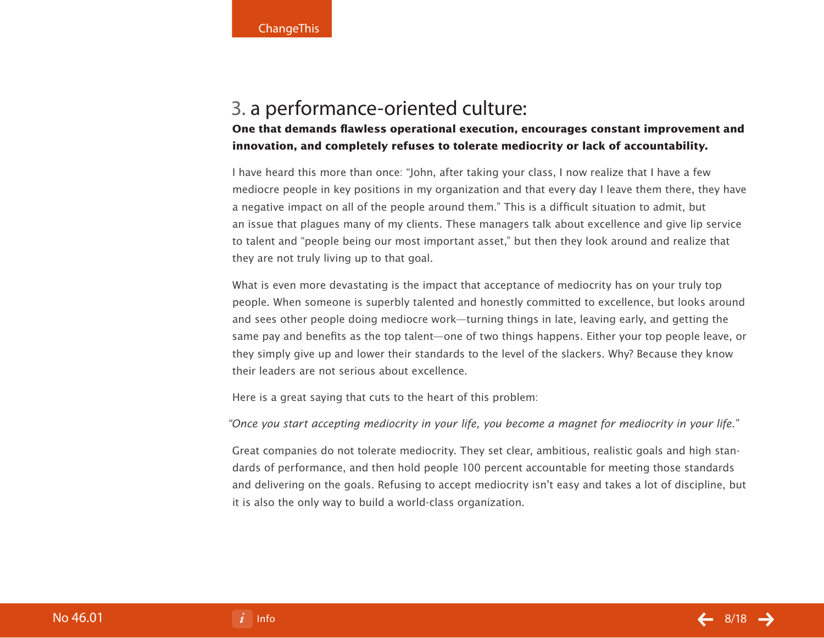# 3. a performance-oriented culture:

**One that demands flawless operational execution, encourages constant improvement and innovation, and completely refuses to tolerate mediocrity or lack of accountability.** 

I have heard this more than once: "John, after taking your class, I now realize that I have a few mediocre people in key positions in my organization and that every day I leave them there, they have a negative impact on all of the people around them." This is a difficult situation to admit, but an issue that plagues many of my clients. These managers talk about excellence and give lip service to talent and "people being our most important asset," but then they look around and realize that they are not truly living up to that goal.

What is even more devastating is the impact that acceptance of mediocrity has on your truly top people. When someone is superbly talented and honestly committed to excellence, but looks around and sees other people doing mediocre work—turning things in late, leaving early, and getting the same pay and benefits as the top talent—one of two things happens. Either your top people leave, or they simply give up and lower their standards to the level of the slackers. Why? Because they know their leaders are not serious about excellence.

Here is a great saying that cuts to the heart of this problem:

"Once you start accepting mediocrity in your life, you become a magnet for mediocrity in your life."

Great companies do not tolerate mediocrity. They set clear, ambitious, realistic goals and high standards of performance, and then hold people 100 percent accountable for meeting those standards and delivering on the goals. Refusing to accept mediocrity isn't easy and takes a lot of discipline, but it is also the only way to build a world-class organization.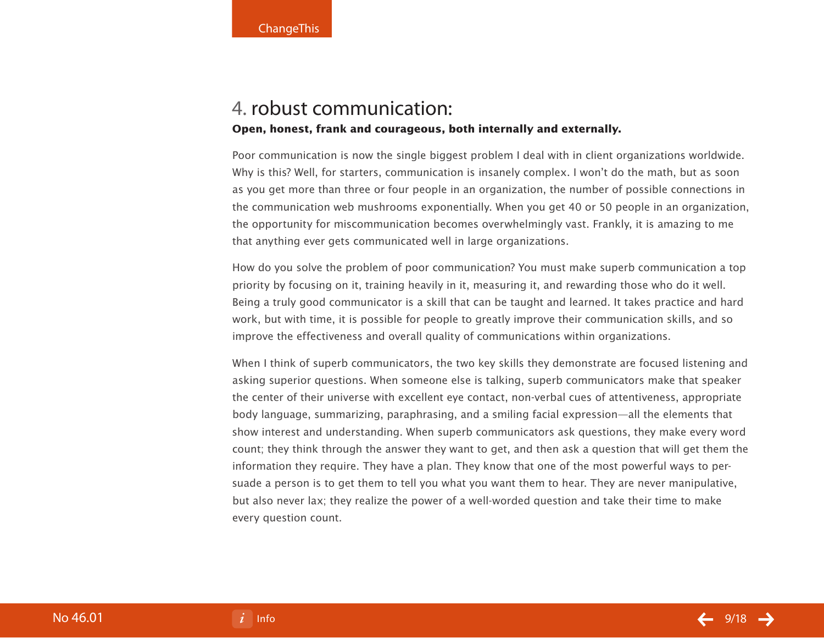# 4. robust communication:

### **Open, honest, frank and courageous, both internally and externally.**

Poor communication is now the single biggest problem I deal with in client organizations worldwide. Why is this? Well, for starters, communication is insanely complex. I won't do the math, but as soon as you get more than three or four people in an organization, the number of possible connections in the communication web mushrooms exponentially. When you get 40 or 50 people in an organization, the opportunity for miscommunication becomes overwhelmingly vast. Frankly, it is amazing to me that anything ever gets communicated well in large organizations.

How do you solve the problem of poor communication? You must make superb communication a top priority by focusing on it, training heavily in it, measuring it, and rewarding those who do it well. Being a truly good communicator is a skill that can be taught and learned. It takes practice and hard work, but with time, it is possible for people to greatly improve their communication skills, and so improve the effectiveness and overall quality of communications within organizations.

When I think of superb communicators, the two key skills they demonstrate are focused listening and asking superior questions. When someone else is talking, superb communicators make that speaker the center of their universe with excellent eye contact, non-verbal cues of attentiveness, appropriate body language, summarizing, paraphrasing, and a smiling facial expression—all the elements that show interest and understanding. When superb communicators ask questions, they make every word count; they think through the answer they want to get, and then ask a question that will get them the information they require. They have a plan. They know that one of the most powerful ways to persuade a person is to get them to tell you what you want them to hear. They are never manipulative, but also never lax; they realize the power of a well-worded question and take their time to make every question count.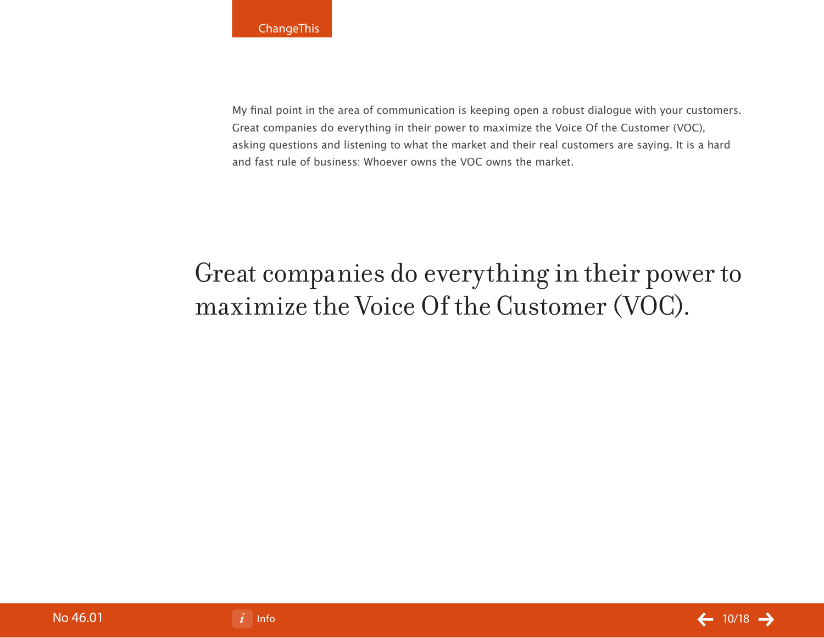My final point in the area of communication is keeping open a robust dialogue with your customers. Great companies do everything in their power to maximize the Voice Of the Customer (VOC), asking questions and listening to what the market and their real customers are saying. It is a hard and fast rule of business: Whoever owns the VOC owns the market.

# Great companies do everything in their power to maximize the Voice Of the Customer (VOC).

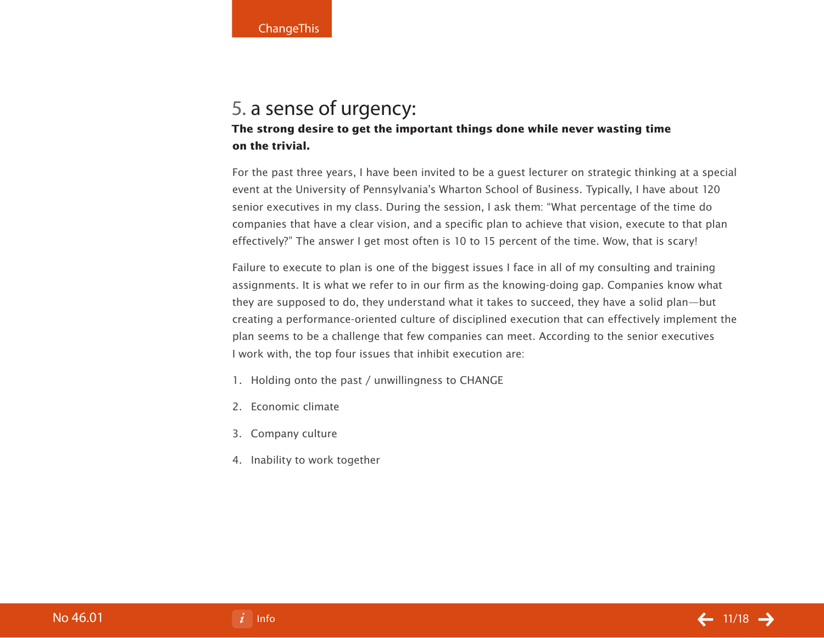## 5. a sense of urgency: **The strong desire to get the important things done while never wasting time on the trivial.**

For the past three years, I have been invited to be a guest lecturer on strategic thinking at a special event at the University of Pennsylvania's Wharton School of Business. Typically, I have about 120 senior executives in my class. During the session, I ask them: "What percentage of the time do companies that have a clear vision, and a specific plan to achieve that vision, execute to that plan effectively?" The answer I get most often is 10 to 15 percent of the time. Wow, that is scary!

Failure to execute to plan is one of the biggest issues I face in all of my consulting and training assignments. It is what we refer to in our firm as the knowing-doing gap. Companies know what they are supposed to do, they understand what it takes to succeed, they have a solid plan—but creating a performance-oriented culture of disciplined execution that can effectively implement the plan seems to be a challenge that few companies can meet. According to the senior executives I work with, the top four issues that inhibit execution are:

- 1. Holding onto the past / unwillingness to CHANGE
- 2. Economic climate
- 3. Company culture
- 4. Inability to work together

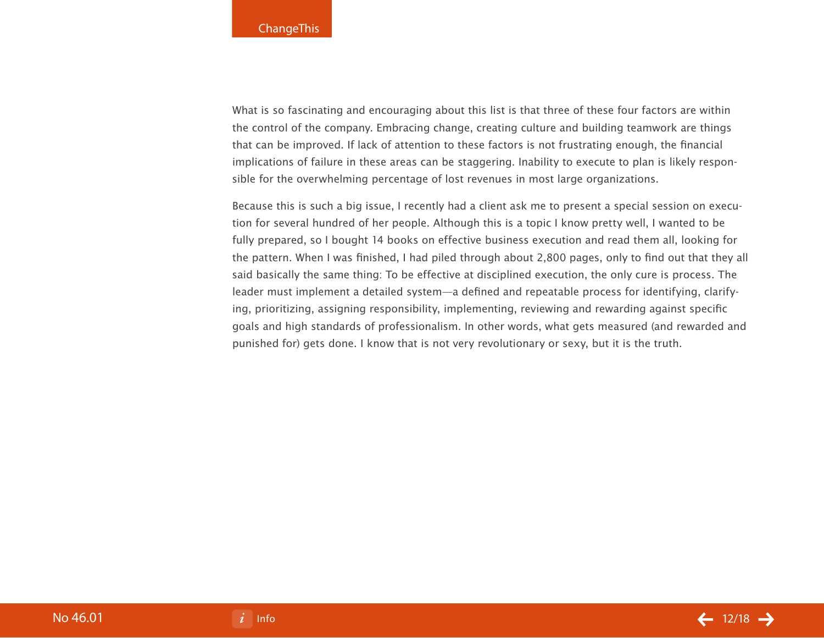What is so fascinating and encouraging about this list is that three of these four factors are within the control of the company. Embracing change, creating culture and building teamwork are things that can be improved. If lack of attention to these factors is not frustrating enough, the financial implications of failure in these areas can be staggering. Inability to execute to plan is likely responsible for the overwhelming percentage of lost revenues in most large organizations.

Because this is such a big issue, I recently had a client ask me to present a special session on execution for several hundred of her people. Although this is a topic I know pretty well, I wanted to be fully prepared, so I bought 14 books on effective business execution and read them all, looking for the pattern. When I was finished, I had piled through about 2,800 pages, only to find out that they all said basically the same thing: To be effective at disciplined execution, the only cure is process. The leader must implement a detailed system—a defined and repeatable process for identifying, clarifying, prioritizing, assigning responsibility, implementing, reviewing and rewarding against specific goals and high standards of professionalism. In other words, what gets measured (and rewarded and punished for) gets done. I know that is not very revolutionary or sexy, but it is the truth.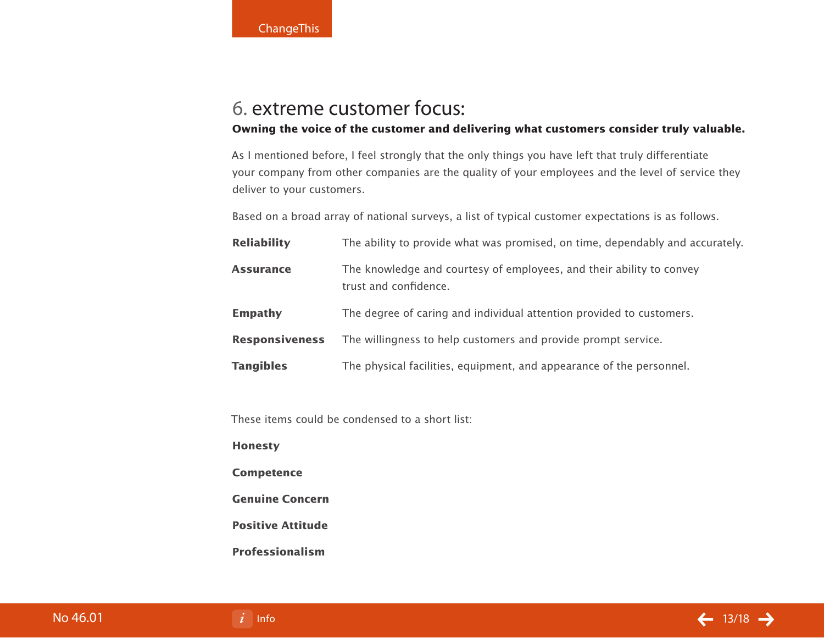# 6. extreme customer focus:

## **Owning the voice of the customer and delivering what customers consider truly valuable.**

As I mentioned before, I feel strongly that the only things you have left that truly differentiate your company from other companies are the quality of your employees and the level of service they deliver to your customers.

Based on a broad array of national surveys, a list of typical customer expectations is as follows.

| <b>Reliability</b>    | The ability to provide what was promised, on time, dependably and accurately.                 |
|-----------------------|-----------------------------------------------------------------------------------------------|
| <b>Assurance</b>      | The knowledge and courtesy of employees, and their ability to convey<br>trust and confidence. |
| <b>Empathy</b>        | The degree of caring and individual attention provided to customers.                          |
| <b>Responsiveness</b> | The willingness to help customers and provide prompt service.                                 |
| <b>Tangibles</b>      | The physical facilities, equipment, and appearance of the personnel.                          |

These items could be condensed to a short list:

#### **Honesty**

**Competence**

**Genuine Concern**

**Positive Attitude**

**Professionalism**

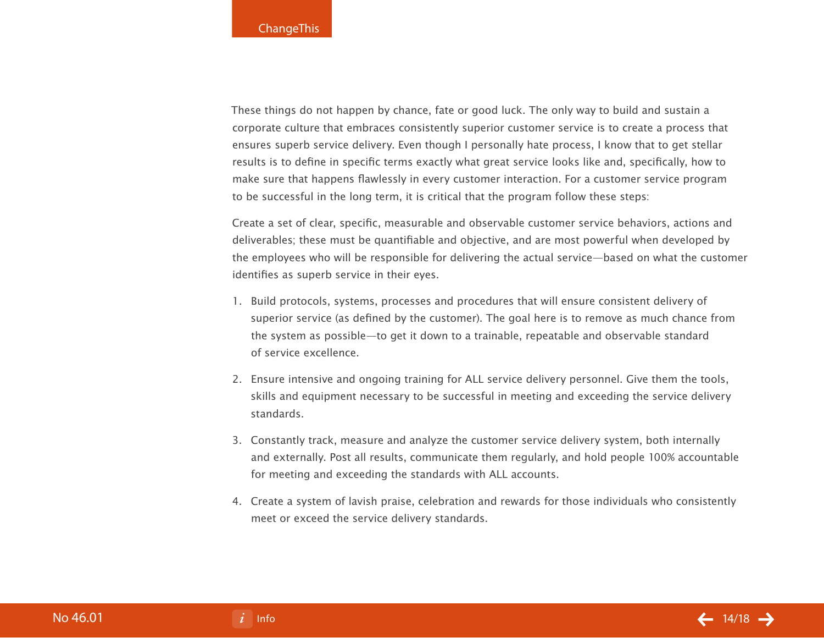These things do not happen by chance, fate or good luck. The only way to build and sustain a corporate culture that embraces consistently superior customer service is to create a process that ensures superb service delivery. Even though I personally hate process, I know that to get stellar results is to define in specific terms exactly what great service looks like and, specifically, how to make sure that happens flawlessly in every customer interaction. For a customer service program to be successful in the long term, it is critical that the program follow these steps:

Create a set of clear, specific, measurable and observable customer service behaviors, actions and deliverables; these must be quantifiable and objective, and are most powerful when developed by the employees who will be responsible for delivering the actual service—based on what the customer identifies as superb service in their eyes.

- 1. Build protocols, systems, processes and procedures that will ensure consistent delivery of superior service (as defined by the customer). The goal here is to remove as much chance from the system as possible—to get it down to a trainable, repeatable and observable standard of service excellence.
- Ensure intensive and ongoing training for ALL service delivery personnel. Give them the tools, 2. skills and equipment necessary to be successful in meeting and exceeding the service delivery standards.
- Constantly track, measure and analyze the customer service delivery system, both internally 3. and externally. Post all results, communicate them regularly, and hold people 100% accountable for meeting and exceeding the standards with ALL accounts.
- Create a system of lavish praise, celebration and rewards for those individuals who consistently 4. meet or exceed the service delivery standards.

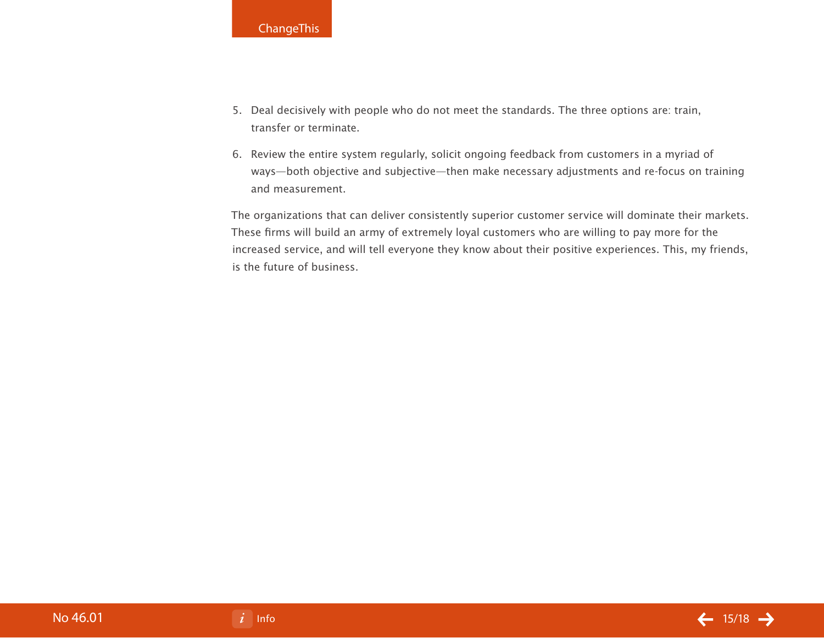- 5. Deal decisively with people who do not meet the standards. The three options are: train, transfer or terminate.
- 6. Review the entire system regularly, solicit ongoing feedback from customers in a myriad of ways—both objective and subjective—then make necessary adjustments and re-focus on training and measurement.

The organizations that can deliver consistently superior customer service will dominate their markets. These firms will build an army of extremely loyal customers who are willing to pay more for the increased service, and will tell everyone they know about their positive experiences. This, my friends, is the future of business.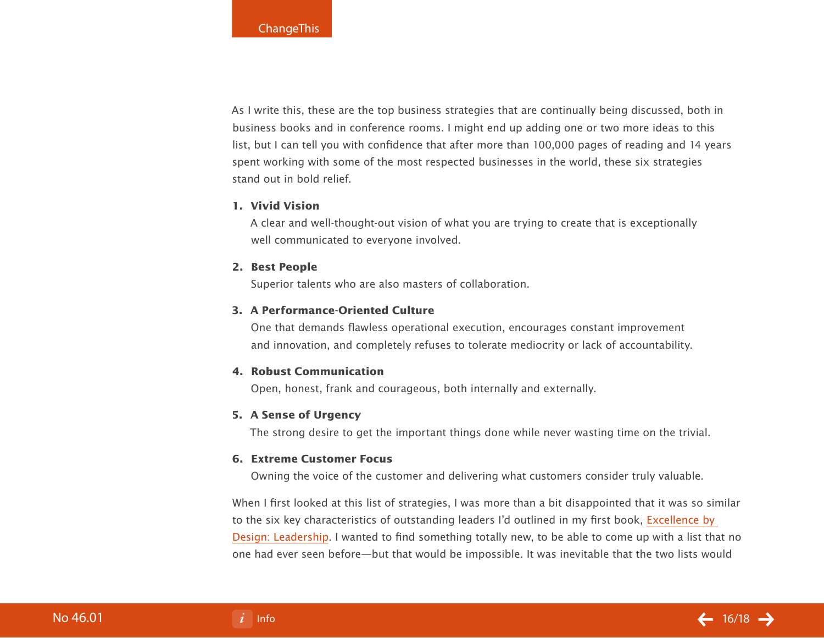As I write this, these are the top business strategies that are continually being discussed, both in business books and in conference rooms. I might end up adding one or two more ideas to this list, but I can tell you with confidence that after more than 100,000 pages of reading and 14 years spent working with some of the most respected businesses in the world, these six strategies stand out in bold relief.

### **Vivid Vision 1.**

A clear and well-thought-out vision of what you are trying to create that is exceptionally well communicated to everyone involved.

#### **Best People 2.**

Superior talents who are also masters of collaboration.

### **A Performance-Oriented Culture 3.**

One that demands flawless operational execution, encourages constant improvement and innovation, and completely refuses to tolerate mediocrity or lack of accountability.

### **Robust Communication 4.**

Open, honest, frank and courageous, both internally and externally.

### **A Sense of Urgency 5.**

The strong desire to get the important things done while never wasting time on the trivial.

#### **Extreme Customer Focus 6.**

Owning the voice of the customer and delivering what customers consider truly valuable.

When I first looked at this list of strategies, I was more than a bit disappointed that it was so similar to the six key characteristics of outstanding leaders I'd outlined in my first book, [Excellence by](http://johnspence.com/books.php)  [Design: Leadership.](http://johnspence.com/books.php) I wanted to find something totally new, to be able to come up with a list that no one had ever seen before—but that would be impossible. It was inevitable that the two lists would

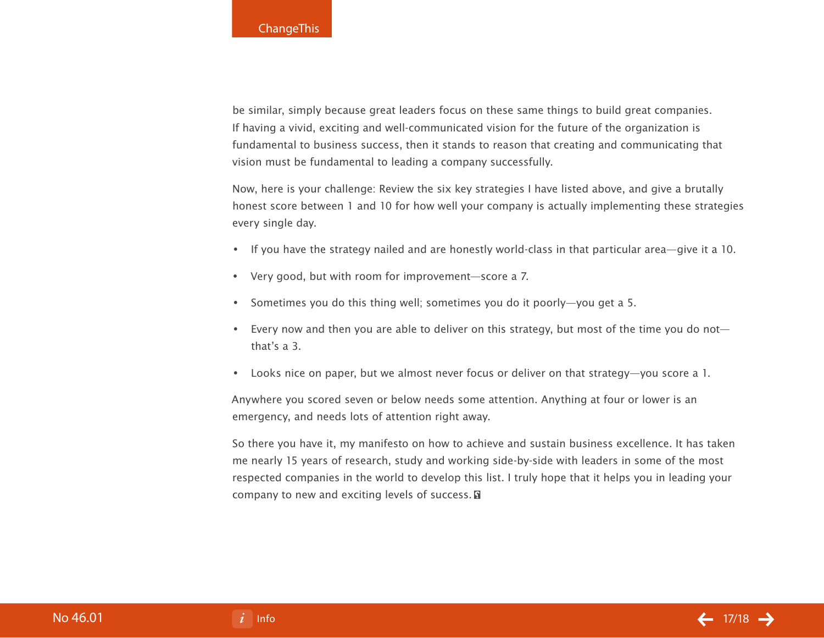be similar, simply because great leaders focus on these same things to build great companies. If having a vivid, exciting and well-communicated vision for the future of the organization is fundamental to business success, then it stands to reason that creating and communicating that vision must be fundamental to leading a company successfully.

Now, here is your challenge: Review the six key strategies I have listed above, and give a brutally honest score between 1 and 10 for how well your company is actually implementing these strategies every single day.

- If you have the strategy nailed and are honestly world-class in that particular area—give it a 10.
- Very good, but with room for improvement—score a 7. •
- Sometimes you do this thing well; sometimes you do it poorly—you get a 5.
- Every now and then you are able to deliver on this strategy, but most of the time you do not that's a 3.
- Looks nice on paper, but we almost never focus or deliver on that strategy—you score a 1. •

Anywhere you scored seven or below needs some attention. Anything at four or lower is an emergency, and needs lots of attention right away.

So there you have it, my manifesto on how to achieve and sustain business excellence. It has taken me nearly 15 years of research, study and working side-by-side with leaders in some of the most respected companies in the world to develop this list. I truly hope that it helps you in leading your company to new and exciting levels of success. **a**